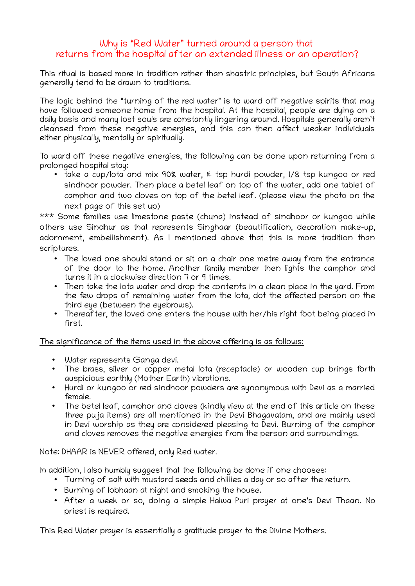## Why is "Red Water" turned around a person that returns from the hospital after an extended illness or an operation?

This ritual is based more in tradition rather than shastric principles, but South Africans generally tend to be drawn to traditions.

The logic behind the "turning of the red water" is to ward off negative spirits that may have followed someone home from the hospital. At the hospital, people are dying on a daily basis and many lost souls are constantly lingering around. Hospitals generally aren't cleansed from these negative energies, and this can then affect weaker individuals either physically, mentally or spiritually.

To ward off these negative energies, the following can be done upon returning from a prolonged hospital stay:

• take a cup/lota and mix 90% water, 4 tsp hurdi powder, 1/8 tsp kungoo or red sindhoor powder. Then place a betel leaf on top of the water, add one tablet of camphor and two cloves on top of the betel leaf. (please view the photo on the next page of this set up)

\*\*\* Some families use limestone paste (chuna) instead of sindhoor or kungoo while others use Sindhur as that represents Singhaar (beautification, decoration make-up, adornment, embellishment). As I mentioned above that this is more tradition than scriptures.

- The loved one should stand or sit on a chair one metre away from the entrance of the door to the home. Another family member then lights the camphor and turns it in a clockwise direction 7 or 9 times.
- Then take the lota water and drop the contents in a clean place in the yard. From the few drops of remaining water from the lota, dot the affected person on the third eye (between the eyebrows).
- Thereafter, the loved one enters the house with her/his right foot being placed in first.

The significance of the items used in the above offering is as follows:

- Water represents Ganga devi.
- The brass, silver or copper metal lota (receptacle) or wooden cup brings forth auspicious earthly (Mother Earth) vibrations.
- Hurdi or kungoo or red sindhoor powders are synonymous with Devi as a married female.
- The betel leaf, camphor and cloves (kindly view at the end of this article on these three puja items) are all mentioned in the Devi Bhagavatam, and are mainly used in Devi worship as they are considered pleasing to Devi. Burning of the camphor and cloves removes the negative energies from the person and surroundings.

Note: DHAAR is NEVER offered, only Red water.

In addition, I also humbly suggest that the following be done if one chooses:

- Turning of salt with mustard seeds and chillies a day or so after the return.
- Burning of lobhaan at night and smoking the house.
- After a week or so, doing a simple Halwa Puri prayer at one's Devi Thaan. No priest is required.

This Red Water prayer is essentially a gratitude prayer to the Divine Mothers.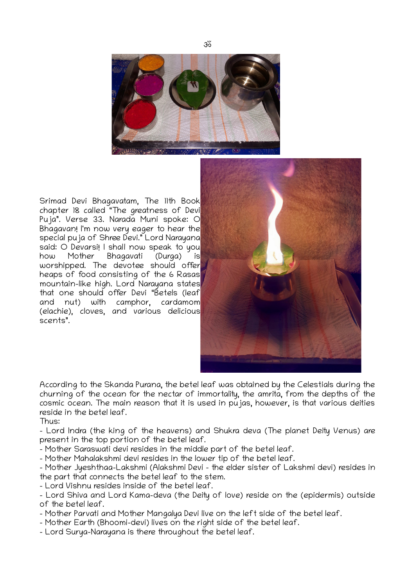

Srimad Devi Bhagavatam, The 11th Book chapter 18 called "The greatness of Devi Puja". Verse 33. Narada Muni spoke: O Bhagavan! I'm now very eager to hear the special puja of Shree Devi." Lord Narayana said: O Devarsi! I shall now speak to you<br>how Mother Bhagavati (Durga) is how Mother Bhagavati (Durga) is worshipped. The devotee should offer heaps of food consisting of the 6 Rasas mountain-like high. Lord Narayana states that one should offer Devi "Betels (leaf and nut) with camphor, cardamom (elachie), cloves, and various delicious scents".



According to the Skanda Purana, the betel leaf was obtained by the Celestials during the churning of the ocean for the nectar of immortality, the amrita, from the depths of the cosmic ocean. The main reason that it is used in pujas, however, is that various deities reside in the betel leaf.

Thus:

– Lord Indra (the king of the heavens) and Shukra deva (The planet Deity Venus) are present in the top portion of the betel leaf.

– Mother Saraswati devi resides in the middle part of the betel leaf.

– Mother Mahalakshmi devi resides in the lower tip of the betel leaf.

– Mother Jyeshthaa-Lakshmi (Alakshmi Devi – the elder sister of Lakshmi devi) resides in the part that connects the betel leaf to the stem.

– Lord Vishnu resides inside of the betel leaf.

– Lord Shiva and Lord Kama-deva (the Deity of love) reside on the (epidermis) outside of the betel leaf.

- Mother Parvati and Mother Mangalya Devi live on the left side of the betel leaf.
- Mother Earth (Bhoomi-devi) lives on the right side of the betel leaf.
- Lord Surya-Narayana is there throughout the betel leaf.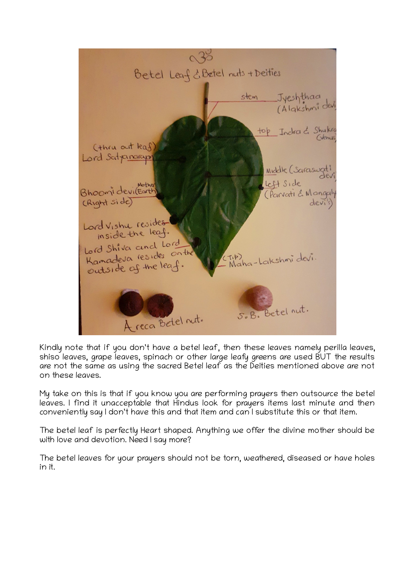

Kindly note that if you don't have a betel leaf, then these leaves namely perilla leaves, shiso leaves, grape leaves, spinach or other large leafy greens are used BUT the results are not the same as using the sacred Betel leaf as the Deities mentioned above are not on these leaves.

My take on this is that if you know you are performing prayers then outsource the betel leaves. I find it unacceptable that Hindus look for prayers items last minute and then conveniently say I don't have this and that item and can I substitute this or that item.

The betel leaf is perfectly Heart shaped. Anything we offer the divine mother should be with love and devotion. Need I say more?

The betel leaves for your prayers should not be torn, weathered, diseased or have holes in it.